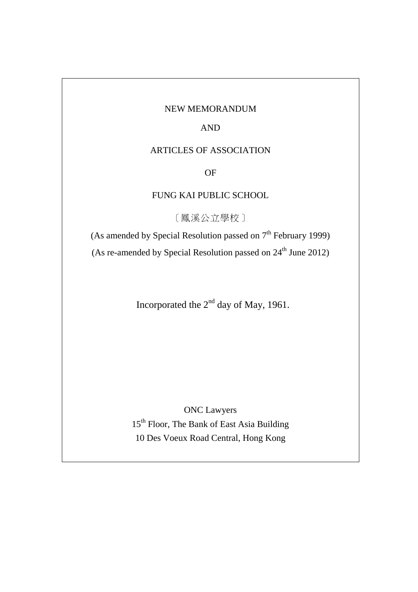#### NEW MEMORANDUM

AND

### ARTICLES OF ASSOCIATION

OF

## FUNG KAI PUBLIC SCHOOL

[鳳溪公立學校]

(As amended by Special Resolution passed on  $7<sup>th</sup>$  February 1999) (As re-amended by Special Resolution passed on  $24<sup>th</sup>$  June 2012)

Incorporated the  $2<sup>nd</sup>$  day of May, 1961.

ONC Lawyers 15<sup>th</sup> Floor, The Bank of East Asia Building 10 Des Voeux Road Central, Hong Kong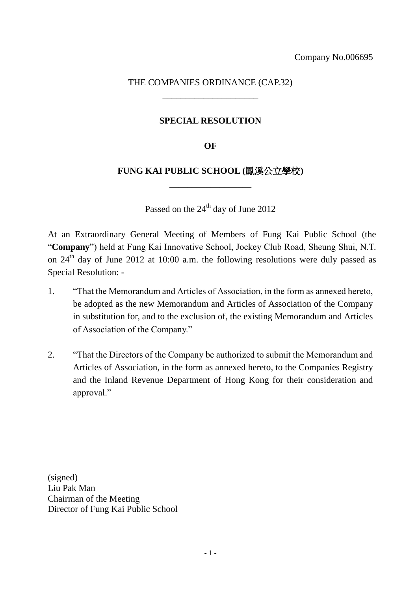## THE COMPANIES ORDINANCE (CAP.32) \_\_\_\_\_\_\_\_\_\_\_\_\_\_\_\_\_\_\_\_\_

## **SPECIAL RESOLUTION**

### **OF**

## **FUNG KAI PUBLIC SCHOOL (**鳳溪公立學校**)** \_\_\_\_\_\_\_\_\_\_\_\_\_\_\_\_\_\_

Passed on the 24<sup>th</sup> day of June 2012

At an Extraordinary General Meeting of Members of Fung Kai Public School (the "**Company**") held at Fung Kai Innovative School, Jockey Club Road, Sheung Shui, N.T. on  $24^{\text{th}}$  day of June 2012 at 10:00 a.m. the following resolutions were duly passed as Special Resolution: -

- 1. "That the Memorandum and Articles of Association, in the form as annexed hereto, be adopted as the new Memorandum and Articles of Association of the Company in substitution for, and to the exclusion of, the existing Memorandum and Articles of Association of the Company."
- 2. "That the Directors of the Company be authorized to submit the Memorandum and Articles of Association, in the form as annexed hereto, to the Companies Registry and the Inland Revenue Department of Hong Kong for their consideration and approval."

(signed) Liu Pak Man Chairman of the Meeting Director of Fung Kai Public School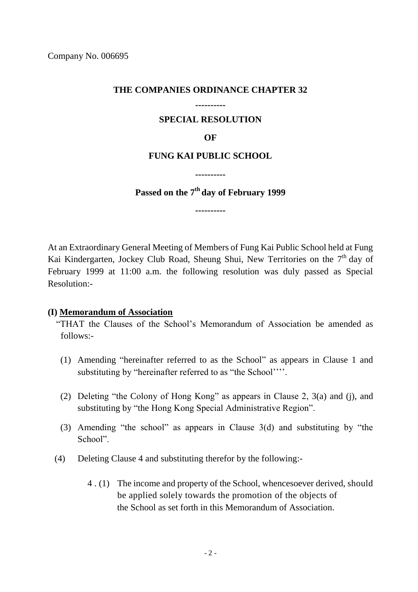### **THE COMPANIES ORDINANCE CHAPTER 32**

# **----------**

## **SPECIAL RESOLUTION**

### **OF**

## **FUNG KAI PUBLIC SCHOOL**

**----------**

**Passed on the 7th day of February 1999**

**----------**

At an Extraordinary General Meeting of Members of Fung Kai Public School held at Fung Kai Kindergarten, Jockey Club Road, Sheung Shui, New Territories on the  $7<sup>th</sup>$  day of February 1999 at 11:00 a.m. the following resolution was duly passed as Special Resolution:-

## **(I) Memorandum of Association**

"THAT the Clauses of the School's Memorandum of Association be amended as follows:-

- (1) Amending "hereinafter referred to as the School" as appears in Clause 1 and substituting by "hereinafter referred to as "the School''''.
- (2) Deleting "the Colony of Hong Kong" as appears in Clause 2, 3(a) and (j), and substituting by "the Hong Kong Special Administrative Region".
- (3) Amending "the school" as appears in Clause 3(d) and substituting by "the School".
- (4) Deleting Clause 4 and substituting therefor by the following:-
	- 4 . (1) The income and property of the School, whencesoever derived, should be applied solely towards the promotion of the objects of the School as set forth in this Memorandum of Association.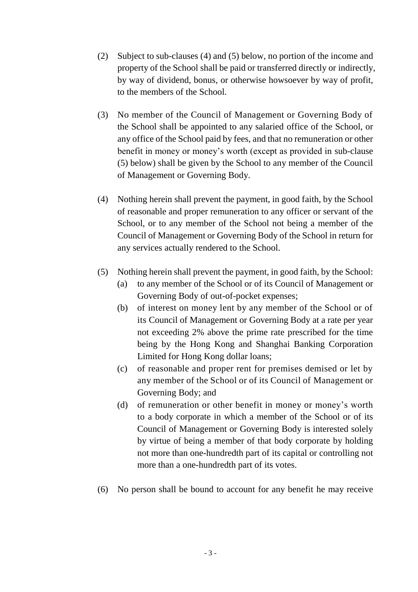- (2) Subject to sub-clauses (4) and (5) below, no portion of the income and property of the School shall be paid or transferred directly or indirectly, by way of dividend, bonus, or otherwise howsoever by way of profit, to the members of the School.
- (3) No member of the Council of Management or Governing Body of the School shall be appointed to any salaried office of the School, or any office of the School paid by fees, and that no remuneration or other benefit in money or money's worth (except as provided in sub-clause (5) below) shall be given by the School to any member of the Council of Management or Governing Body.
- (4) Nothing herein shall prevent the payment, in good faith, by the School of reasonable and proper remuneration to any officer or servant of the School, or to any member of the School not being a member of the Council of Management or Governing Body of the School in return for any services actually rendered to the School.
- (5) Nothing herein shall prevent the payment, in good faith, by the School:
	- (a) to any member of the School or of its Council of Management or Governing Body of out-of-pocket expenses;
	- (b) of interest on money lent by any member of the School or of its Council of Management or Governing Body at a rate per year not exceeding 2% above the prime rate prescribed for the time being by the Hong Kong and Shanghai Banking Corporation Limited for Hong Kong dollar loans;
	- (c) of reasonable and proper rent for premises demised or let by any member of the School or of its Council of Management or Governing Body; and
	- (d) of remuneration or other benefit in money or money's worth to a body corporate in which a member of the School or of its Council of Management or Governing Body is interested solely by virtue of being a member of that body corporate by holding not more than one-hundredth part of its capital or controlling not more than a one-hundredth part of its votes.
- (6) No person shall be bound to account for any benefit he may receive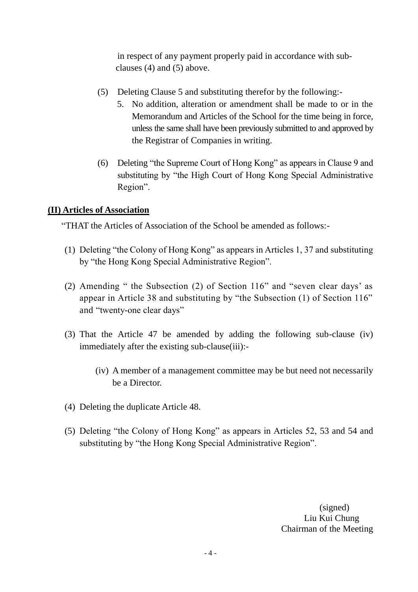in respect of any payment properly paid in accordance with subclauses (4) and (5) above.

- (5) Deleting Clause 5 and substituting therefor by the following:-
	- 5. No addition, alteration or amendment shall be made to or in the Memorandum and Articles of the School for the time being in force, unless the same shall have been previously submitted to and approved by the Registrar of Companies in writing.
- (6) Deleting "the Supreme Court of Hong Kong" as appears in Clause 9 and substituting by "the High Court of Hong Kong Special Administrative Region".

## **(II) Articles of Association**

"THAT the Articles of Association of the School be amended as follows:-

- (1) Deleting "the Colony of Hong Kong" as appears in Articles 1, 37 and substituting by "the Hong Kong Special Administrative Region".
- (2) Amending " the Subsection (2) of Section 116" and "seven clear days' as appear in Article 38 and substituting by "the Subsection (1) of Section 116" and "twenty-one clear days"
- (3) That the Article 47 be amended by adding the following sub-clause (iv) immediately after the existing sub-clause(iii):-
	- (iv) A member of a management committee may be but need not necessarily be a Director.
- (4) Deleting the duplicate Article 48.
- (5) Deleting "the Colony of Hong Kong" as appears in Articles 52, 53 and 54 and substituting by "the Hong Kong Special Administrative Region".

(signed) Liu Kui Chung Chairman of the Meeting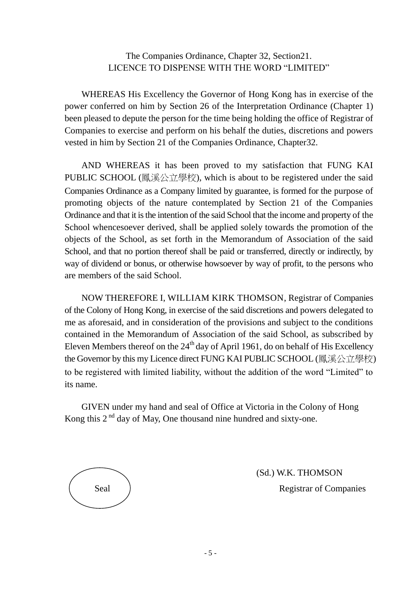## The Companies Ordinance, Chapter 32, Section21. LICENCE TO DISPENSE WITH THE WORD "LIMITED"

WHEREAS His Excellency the Governor of Hong Kong has in exercise of the power conferred on him by Section 26 of the Interpretation Ordinance (Chapter 1) been pleased to depute the person for the time being holding the office of Registrar of Companies to exercise and perform on his behalf the duties, discretions and powers vested in him by Section 21 of the Companies Ordinance, Chapter32.

AND WHEREAS it has been proved to my satisfaction that FUNG KAI PUBLIC SCHOOL (鳳溪公立學校), which is about to be registered under the said Companies Ordinance as a Company limited by guarantee, is formed for the purpose of promoting objects of the nature contemplated by Section 21 of the Companies Ordinance and that it is the intention of the said School that the income and property of the School whencesoever derived, shall be applied solely towards the promotion of the objects of the School, as set forth in the Memorandum of Association of the said School, and that no portion thereof shall be paid or transferred, directly or indirectly, by way of dividend or bonus, or otherwise howsoever by way of profit, to the persons who are members of the said School.

NOW THEREFORE I, WILLIAM KIRK THOMSON, Registrar of Companies of the Colony of Hong Kong, in exercise of the said discretions and powers delegated to me as aforesaid, and in consideration of the provisions and subject to the conditions contained in the Memorandum of Association of the said School, as subscribed by Eleven Members thereof on the  $24<sup>th</sup>$  day of April 1961, do on behalf of His Excellency the Governor by this my Licence direct FUNG KAI PUBLIC SCHOOL (鳳溪公立學校) to be registered with limited liability, without the addition of the word "Limited" to its name.

GIVEN under my hand and seal of Office at Victoria in the Colony of Hong Kong this  $2<sup>nd</sup>$  day of May, One thousand nine hundred and sixty-one.



(Sd.) W.K. THOMSON Seal Registrar of Companies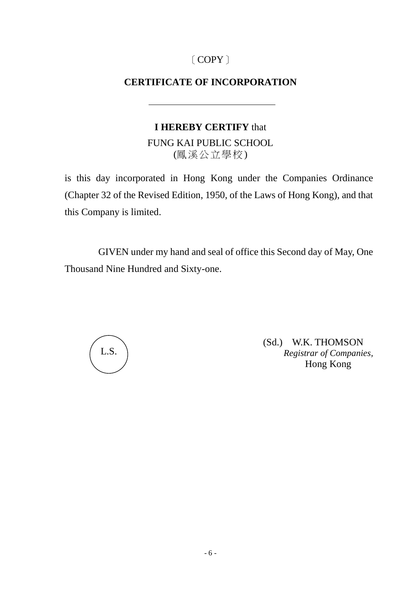# [COPY]

## **CERTIFICATE OF INCORPORATION**

## **I HEREBY CERTIFY** that

FUNG KAI PUBLIC SCHOOL (鳳溪公立學校)

is this day incorporated in Hong Kong under the Companies Ordinance (Chapter 32 of the Revised Edition, 1950, of the Laws of Hong Kong), and that this Company is limited.

GIVEN under my hand and seal of office this Second day of May, One Thousand Nine Hundred and Sixty-one.



(Sd.) W.K. THOMSON *Registrar of Companies,* Hong Kong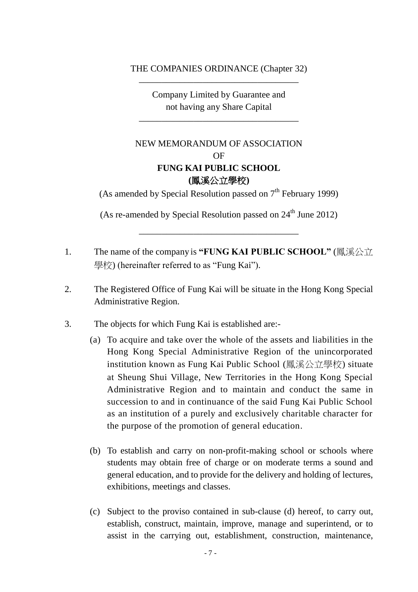### THE COMPANIES ORDINANCE (Chapter 32) \_\_\_\_\_\_\_\_\_\_\_\_\_\_\_\_\_\_\_\_\_\_\_\_\_\_\_\_\_\_\_\_\_\_\_

Company Limited by Guarantee and not having any Share Capital

\_\_\_\_\_\_\_\_\_\_\_\_\_\_\_\_\_\_\_\_\_\_\_\_\_\_\_\_\_\_\_\_\_\_\_

## NEW MEMORANDUM OF ASSOCIATION OF **FUNG KAI PUBLIC SCHOOL (**鳳溪公立學校**)**

(As amended by Special Resolution passed on  $7<sup>th</sup>$  February 1999)

(As re-amended by Special Resolution passed on  $24<sup>th</sup>$  June 2012)

\_\_\_\_\_\_\_\_\_\_\_\_\_\_\_\_\_\_\_\_\_\_\_\_\_\_\_\_\_\_\_\_\_\_\_

- 1. The name of the company is **"FUNG KAI PUBLIC SCHOOL"** (鳳溪公立 學校) (hereinafter referred to as "Fung Kai").
- 2. The Registered Office of Fung Kai will be situate in the Hong Kong Special Administrative Region.
- 3. The objects for which Fung Kai is established are:-
	- (a) To acquire and take over the whole of the assets and liabilities in the Hong Kong Special Administrative Region of the unincorporated institution known as Fung Kai Public School (鳳溪公立學校) situate at Sheung Shui Village, New Territories in the Hong Kong Special Administrative Region and to maintain and conduct the same in succession to and in continuance of the said Fung Kai Public School as an institution of a purely and exclusively charitable character for the purpose of the promotion of general education.
	- (b) To establish and carry on non-profit-making school or schools where students may obtain free of charge or on moderate terms a sound and general education, and to provide for the delivery and holding of lectures, exhibitions, meetings and classes.
	- (c) Subject to the proviso contained in sub-clause (d) hereof, to carry out, establish, construct, maintain, improve, manage and superintend, or to assist in the carrying out, establishment, construction, maintenance,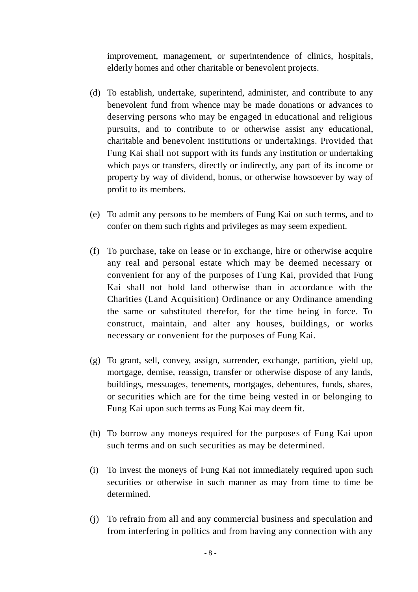improvement, management, or superintendence of clinics, hospitals, elderly homes and other charitable or benevolent projects.

- (d) To establish, undertake, superintend, administer, and contribute to any benevolent fund from whence may be made donations or advances to deserving persons who may be engaged in educational and religious pursuits, and to contribute to or otherwise assist any educational, charitable and benevolent institutions or undertakings. Provided that Fung Kai shall not support with its funds any institution or undertaking which pays or transfers, directly or indirectly, any part of its income or property by way of dividend, bonus, or otherwise howsoever by way of profit to its members.
- (e) To admit any persons to be members of Fung Kai on such terms, and to confer on them such rights and privileges as may seem expedient.
- (f) To purchase, take on lease or in exchange, hire or otherwise acquire any real and personal estate which may be deemed necessary or convenient for any of the purposes of Fung Kai, provided that Fung Kai shall not hold land otherwise than in accordance with the Charities (Land Acquisition) Ordinance or any Ordinance amending the same or substituted therefor, for the time being in force. To construct, maintain, and alter any houses, buildings, or works necessary or convenient for the purposes of Fung Kai.
- (g) To grant, sell, convey, assign, surrender, exchange, partition, yield up, mortgage, demise, reassign, transfer or otherwise dispose of any lands, buildings, messuages, tenements, mortgages, debentures, funds, shares, or securities which are for the time being vested in or belonging to Fung Kai upon such terms as Fung Kai may deem fit.
- (h) To borrow any moneys required for the purposes of Fung Kai upon such terms and on such securities as may be determined.
- (i) To invest the moneys of Fung Kai not immediately required upon such securities or otherwise in such manner as may from time to time be determined.
- (j) To refrain from all and any commercial business and speculation and from interfering in politics and from having any connection with any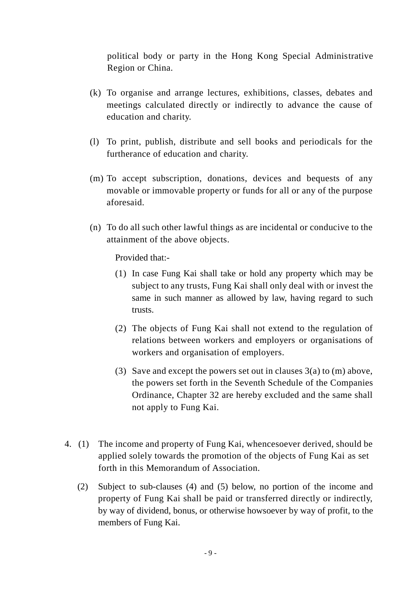political body or party in the Hong Kong Special Administrative Region or China.

- (k) To organise and arrange lectures, exhibitions, classes, debates and meetings calculated directly or indirectly to advance the cause of education and charity.
- (l) To print, publish, distribute and sell books and periodicals for the furtherance of education and charity.
- (m) To accept subscription, donations, devices and bequests of any movable or immovable property or funds for all or any of the purpose aforesaid.
- (n) To do all such other lawful things as are incidental or conducive to the attainment of the above objects.

Provided that:-

- (1) In case Fung Kai shall take or hold any property which may be subject to any trusts, Fung Kai shall only deal with or invest the same in such manner as allowed by law, having regard to such trusts.
- (2) The objects of Fung Kai shall not extend to the regulation of relations between workers and employers or organisations of workers and organisation of employers.
- (3) Save and except the powers set out in clauses 3(a) to (m) above, the powers set forth in the Seventh Schedule of the Companies Ordinance, Chapter 32 are hereby excluded and the same shall not apply to Fung Kai.
- 4. (1) The income and property of Fung Kai, whencesoever derived, should be applied solely towards the promotion of the objects of Fung Kai as set forth in this Memorandum of Association.
	- (2) Subject to sub-clauses (4) and (5) below, no portion of the income and property of Fung Kai shall be paid or transferred directly or indirectly, by way of dividend, bonus, or otherwise howsoever by way of profit, to the members of Fung Kai.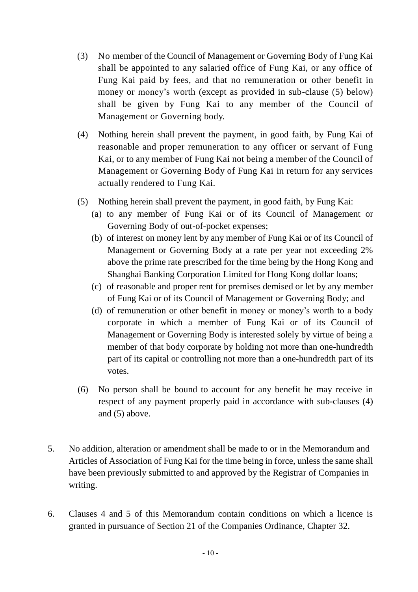- (3) No member of the Council of Management or Governing Body of Fung Kai shall be appointed to any salaried office of Fung Kai, or any office of Fung Kai paid by fees, and that no remuneration or other benefit in money or money's worth (except as provided in sub-clause (5) below) shall be given by Fung Kai to any member of the Council of Management or Governing body.
- (4) Nothing herein shall prevent the payment, in good faith, by Fung Kai of reasonable and proper remuneration to any officer or servant of Fung Kai, or to any member of Fung Kai not being a member of the Council of Management or Governing Body of Fung Kai in return for any services actually rendered to Fung Kai.
- (5) Nothing herein shall prevent the payment, in good faith, by Fung Kai:
	- (a) to any member of Fung Kai or of its Council of Management or Governing Body of out-of-pocket expenses;
	- (b) of interest on money lent by any member of Fung Kai or of its Council of Management or Governing Body at a rate per year not exceeding 2% above the prime rate prescribed for the time being by the Hong Kong and Shanghai Banking Corporation Limited for Hong Kong dollar loans;
	- (c) of reasonable and proper rent for premises demised or let by any member of Fung Kai or of its Council of Management or Governing Body; and
	- (d) of remuneration or other benefit in money or money's worth to a body corporate in which a member of Fung Kai or of its Council of Management or Governing Body is interested solely by virtue of being a member of that body corporate by holding not more than one-hundredth part of its capital or controlling not more than a one-hundredth part of its votes.
- (6) No person shall be bound to account for any benefit he may receive in respect of any payment properly paid in accordance with sub-clauses (4) and (5) above.
- 5. No addition, alteration or amendment shall be made to or in the Memorandum and Articles of Association of Fung Kai for the time being in force, unless the same shall have been previously submitted to and approved by the Registrar of Companies in writing.
- 6. Clauses 4 and 5 of this Memorandum contain conditions on which a licence is granted in pursuance of Section 21 of the Companies Ordinance, Chapter 32.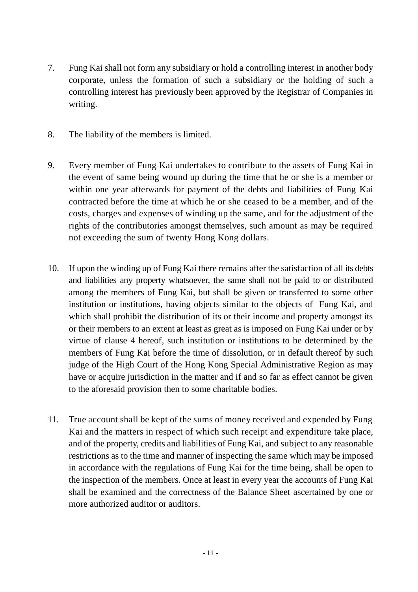- 7. Fung Kai shall not form any subsidiary or hold a controlling interest in another body corporate, unless the formation of such a subsidiary or the holding of such a controlling interest has previously been approved by the Registrar of Companies in writing.
- 8. The liability of the members is limited.
- 9. Every member of Fung Kai undertakes to contribute to the assets of Fung Kai in the event of same being wound up during the time that he or she is a member or within one year afterwards for payment of the debts and liabilities of Fung Kai contracted before the time at which he or she ceased to be a member, and of the costs, charges and expenses of winding up the same, and for the adjustment of the rights of the contributories amongst themselves, such amount as may be required not exceeding the sum of twenty Hong Kong dollars.
- 10. If upon the winding up of Fung Kai there remains after the satisfaction of all its debts and liabilities any property whatsoever, the same shall not be paid to or distributed among the members of Fung Kai, but shall be given or transferred to some other institution or institutions, having objects similar to the objects of Fung Kai, and which shall prohibit the distribution of its or their income and property amongst its or their members to an extent at least as great as is imposed on Fung Kai under or by virtue of clause 4 hereof, such institution or institutions to be determined by the members of Fung Kai before the time of dissolution, or in default thereof by such judge of the High Court of the Hong Kong Special Administrative Region as may have or acquire jurisdiction in the matter and if and so far as effect cannot be given to the aforesaid provision then to some charitable bodies.
- 11. True account shall be kept of the sums of money received and expended by Fung Kai and the matters in respect of which such receipt and expenditure take place, and of the property, credits and liabilities of Fung Kai, and subject to any reasonable restrictions as to the time and manner of inspecting the same which may be imposed in accordance with the regulations of Fung Kai for the time being, shall be open to the inspection of the members. Once at least in every year the accounts of Fung Kai shall be examined and the correctness of the Balance Sheet ascertained by one or more authorized auditor or auditors.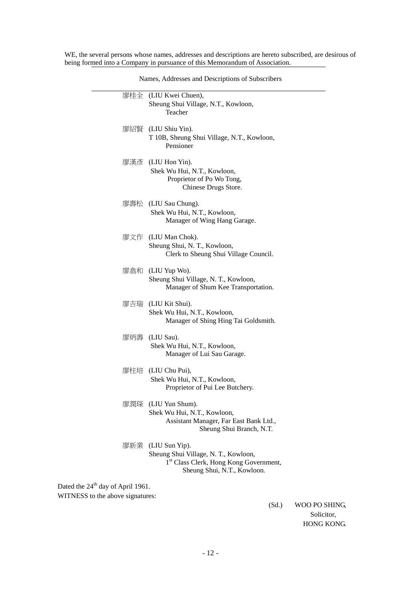WE, the several persons whose names, addresses and descriptions are hereto subscribed, are desirous of being formed into a Company in pursuance of this Memorandum of Association.

|                                    | 廖桂全 (LIU Kwei Chuen),                                                            |  |  |
|------------------------------------|----------------------------------------------------------------------------------|--|--|
|                                    | Sheung Shui Village, N.T., Kowloon,<br>Teacher                                   |  |  |
|                                    | 廖紹賢 (LIU Shiu Yin).                                                              |  |  |
|                                    | T 10B, Sheung Shui Village, N.T., Kowloon,<br>Pensioner                          |  |  |
|                                    | 廖漢彥 (LIU Hon Yin).                                                               |  |  |
|                                    | Shek Wu Hui, N.T., Kowloon,<br>Proprietor of Po Wo Tong,<br>Chinese Drugs Store. |  |  |
|                                    | 廖壽松 (LIU Sau Chung).                                                             |  |  |
|                                    | Shek Wu Hui, N.T., Kowloon,<br>Manager of Wing Hang Garage.                      |  |  |
|                                    | 廖文作 (LIU Man Chok).                                                              |  |  |
|                                    | Sheung Shui, N. T., Kowloon,<br>Clerk to Sheung Shui Village Council.            |  |  |
|                                    | 廖翕和 (LIU Yup Wo).                                                                |  |  |
|                                    | Sheung Shui Village, N. T., Kowloon,<br>Manager of Shum Kee Transportation.      |  |  |
|                                    | 廖吉瑞 (LIU Kit Shui).<br>Shek Wu Hui, N.T., Kowloon,                               |  |  |
|                                    | Manager of Shing Hing Tai Goldsmith.                                             |  |  |
|                                    | 廖炳壽 (LIU Sau).<br>Shek Wu Hui, N.T., Kowloon,                                    |  |  |
|                                    | Manager of Lui Sau Garage.                                                       |  |  |
|                                    | 廖柱培 (LIU Chu Pui),<br>Shek Wu Hui, N.T., Kowloon,                                |  |  |
|                                    | Proprietor of Pui Lee Butchery.                                                  |  |  |
|                                    | 廖潤琛 (LIU Yun Shum).<br>Shek Wu Hui, N.T., Kowloon,                               |  |  |
|                                    | Assistant Manager, Far East Bank Ltd.,                                           |  |  |
|                                    | Sheung Shui Branch, N.T.                                                         |  |  |
|                                    | 廖新業 (LIU Sun Yip).<br>Sheung Shui Village, N. T., Kowloon,                       |  |  |
|                                    | 1st Class Clerk, Hong Kong Government,<br>Sheung Shui, N.T., Kowloon.            |  |  |
| 4 <sup>th</sup> day of April 1961. |                                                                                  |  |  |
|                                    |                                                                                  |  |  |

Names, Addresses and Descriptions of Subscribers

Dated the  $24<sup>th</sup>$  d WITNESS to the above signatures:

Ξ

 (Sd.) WOO PO SHING, Solicitor, HONG KONG.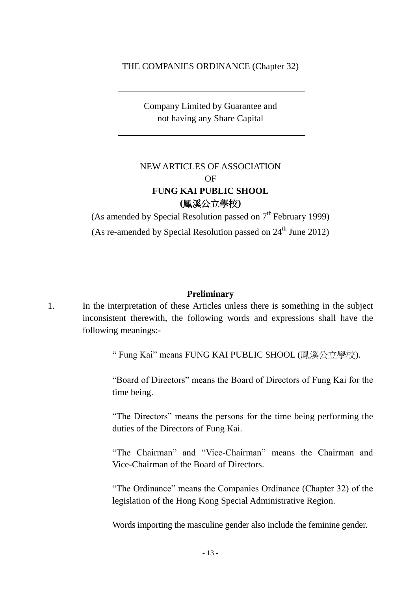#### THE COMPANIES ORDINANCE (Chapter 32)

Company Limited by Guarantee and not having any Share Capital

## NEW ARTICLES OF ASSOCIATION OF **FUNG KAI PUBLIC SHOOL (**鳳溪公立學校**)**

(As amended by Special Resolution passed on  $7<sup>th</sup>$  February 1999) (As re-amended by Special Resolution passed on  $24<sup>th</sup>$  June 2012)

#### **Preliminary**

1. In the interpretation of these Articles unless there is something in the subject inconsistent therewith, the following words and expressions shall have the following meanings:-

" Fung Kai" means FUNG KAI PUBLIC SHOOL (鳳溪公立學校).

"Board of Directors" means the Board of Directors of Fung Kai for the time being.

"The Directors" means the persons for the time being performing the duties of the Directors of Fung Kai.

"The Chairman" and "Vice-Chairman" means the Chairman and Vice-Chairman of the Board of Directors.

"The Ordinance" means the Companies Ordinance (Chapter 32) of the legislation of the Hong Kong Special Administrative Region.

Words importing the masculine gender also include the feminine gender.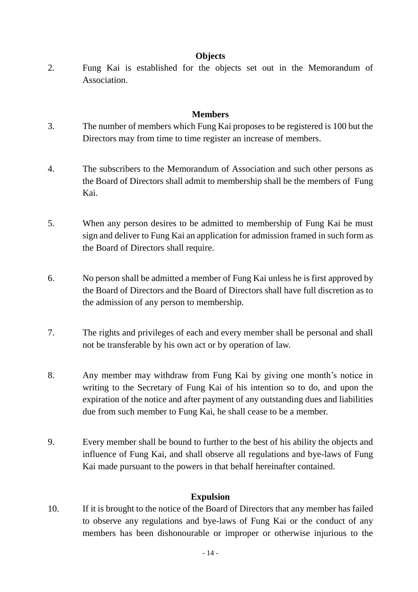## **Objects**

2. Fung Kai is established for the objects set out in the Memorandum of Association.

## **Members**

- 3. The number of members which Fung Kai proposes to be registered is 100 but the Directors may from time to time register an increase of members.
- 4. The subscribers to the Memorandum of Association and such other persons as the Board of Directors shall admit to membership shall be the members of Fung Kai.
- 5. When any person desires to be admitted to membership of Fung Kai he must sign and deliver to Fung Kai an application for admission framed in such form as the Board of Directors shall require.
- 6. No person shall be admitted a member of Fung Kai unless he is first approved by the Board of Directors and the Board of Directors shall have full discretion as to the admission of any person to membership.
- 7. The rights and privileges of each and every member shall be personal and shall not be transferable by his own act or by operation of law.
- 8. Any member may withdraw from Fung Kai by giving one month's notice in writing to the Secretary of Fung Kai of his intention so to do, and upon the expiration of the notice and after payment of any outstanding dues and liabilities due from such member to Fung Kai, he shall cease to be a member.
- 9. Every member shall be bound to further to the best of his ability the objects and influence of Fung Kai, and shall observe all regulations and bye-laws of Fung Kai made pursuant to the powers in that behalf hereinafter contained.

## **Expulsion**

10. If it is brought to the notice of the Board of Directors that any member has failed to observe any regulations and bye-laws of Fung Kai or the conduct of any members has been dishonourable or improper or otherwise injurious to the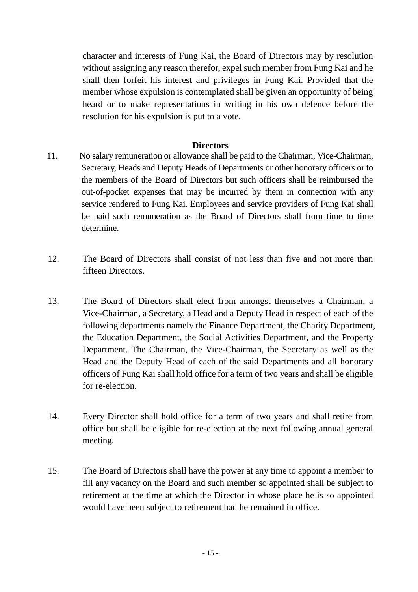character and interests of Fung Kai, the Board of Directors may by resolution without assigning any reason therefor, expel such member from Fung Kai and he shall then forfeit his interest and privileges in Fung Kai. Provided that the member whose expulsion is contemplated shall be given an opportunity of being heard or to make representations in writing in his own defence before the resolution for his expulsion is put to a vote.

### **Directors**

- 11. No salary remuneration or allowance shall be paid to the Chairman, Vice-Chairman, Secretary, Heads and Deputy Heads of Departments or other honorary officers or to the members of the Board of Directors but such officers shall be reimbursed the out-of-pocket expenses that may be incurred by them in connection with any service rendered to Fung Kai. Employees and service providers of Fung Kai shall be paid such remuneration as the Board of Directors shall from time to time determine.
- 12. The Board of Directors shall consist of not less than five and not more than fifteen Directors.
- 13. The Board of Directors shall elect from amongst themselves a Chairman, a Vice-Chairman, a Secretary, a Head and a Deputy Head in respect of each of the following departments namely the Finance Department, the Charity Department, the Education Department, the Social Activities Department, and the Property Department. The Chairman, the Vice-Chairman, the Secretary as well as the Head and the Deputy Head of each of the said Departments and all honorary officers of Fung Kai shall hold office for a term of two years and shall be eligible for re-election.
- 14. Every Director shall hold office for a term of two years and shall retire from office but shall be eligible for re-election at the next following annual general meeting.
- 15. The Board of Directors shall have the power at any time to appoint a member to fill any vacancy on the Board and such member so appointed shall be subject to retirement at the time at which the Director in whose place he is so appointed would have been subject to retirement had he remained in office.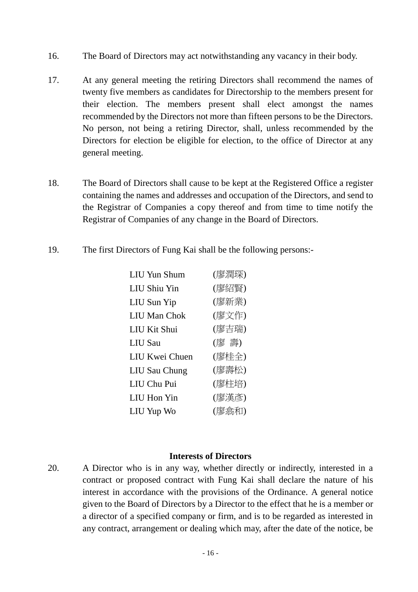- 16. The Board of Directors may act notwithstanding any vacancy in their body.
- 17. At any general meeting the retiring Directors shall recommend the names of twenty five members as candidates for Directorship to the members present for their election. The members present shall elect amongst the names recommended by the Directors not more than fifteen persons to be the Directors. No person, not being a retiring Director, shall, unless recommended by the Directors for election be eligible for election, to the office of Director at any general meeting.
- 18. The Board of Directors shall cause to be kept at the Registered Office a register containing the names and addresses and occupation of the Directors, and send to the Registrar of Companies a copy thereof and from time to time notify the Registrar of Companies of any change in the Board of Directors.
- 19. The first Directors of Fung Kai shall be the following persons:-

| <b>LIU Yun Shum</b>  | (廖潤琛) |
|----------------------|-------|
| <b>LIU Shiu Yin</b>  | (廖紹賢) |
| LIU Sun Yip          | (廖新業) |
| <b>LIU Man Chok</b>  | (廖文作) |
| LIU Kit Shui         | (廖吉瑞) |
| <b>LIU</b> Sau       | (廖 壽) |
| LIU Kwei Chuen       | (廖桂全) |
| <b>LIU Sau Chung</b> | (廖壽松) |
| LIU Chu Pui          | (廖柱培) |
| <b>LIU</b> Hon Yin   | (廖漢彥) |
| LIU Yup Wo           | (廖翕和) |

#### **Interests of Directors**

20. A Director who is in any way, whether directly or indirectly, interested in a contract or proposed contract with Fung Kai shall declare the nature of his interest in accordance with the provisions of the Ordinance. A general notice given to the Board of Directors by a Director to the effect that he is a member or a director of a specified company or firm, and is to be regarded as interested in any contract, arrangement or dealing which may, after the date of the notice, be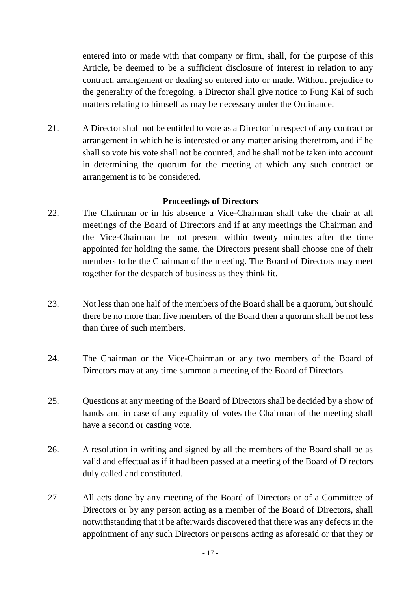entered into or made with that company or firm, shall, for the purpose of this Article, be deemed to be a sufficient disclosure of interest in relation to any contract, arrangement or dealing so entered into or made. Without prejudice to the generality of the foregoing, a Director shall give notice to Fung Kai of such matters relating to himself as may be necessary under the Ordinance.

21. A Director shall not be entitled to vote as a Director in respect of any contract or arrangement in which he is interested or any matter arising therefrom, and if he shall so vote his vote shall not be counted, and he shall not be taken into account in determining the quorum for the meeting at which any such contract or arrangement is to be considered.

### **Proceedings of Directors**

- 22. The Chairman or in his absence a Vice-Chairman shall take the chair at all meetings of the Board of Directors and if at any meetings the Chairman and the Vice-Chairman be not present within twenty minutes after the time appointed for holding the same, the Directors present shall choose one of their members to be the Chairman of the meeting. The Board of Directors may meet together for the despatch of business as they think fit.
- 23. Not less than one half of the members of the Board shall be a quorum, but should there be no more than five members of the Board then a quorum shall be not less than three of such members.
- 24. The Chairman or the Vice-Chairman or any two members of the Board of Directors may at any time summon a meeting of the Board of Directors.
- 25. Questions at any meeting of the Board of Directors shall be decided by a show of hands and in case of any equality of votes the Chairman of the meeting shall have a second or casting vote.
- 26. A resolution in writing and signed by all the members of the Board shall be as valid and effectual as if it had been passed at a meeting of the Board of Directors duly called and constituted.
- 27. All acts done by any meeting of the Board of Directors or of a Committee of Directors or by any person acting as a member of the Board of Directors, shall notwithstanding that it be afterwards discovered that there was any defects in the appointment of any such Directors or persons acting as aforesaid or that they or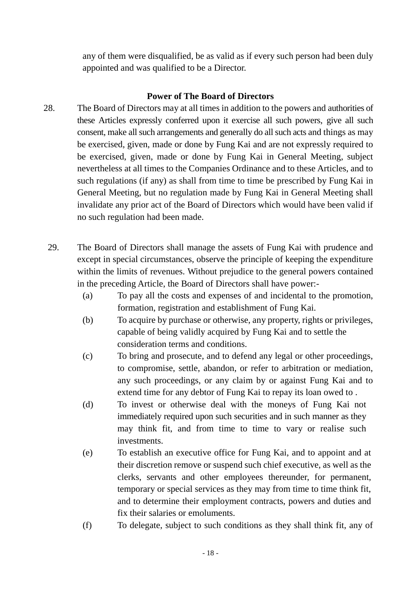any of them were disqualified, be as valid as if every such person had been duly appointed and was qualified to be a Director.

## **Power of The Board of Directors**

- 28. The Board of Directors may at all times in addition to the powers and authorities of these Articles expressly conferred upon it exercise all such powers, give all such consent, make all such arrangements and generally do all such acts and things as may be exercised, given, made or done by Fung Kai and are not expressly required to be exercised, given, made or done by Fung Kai in General Meeting, subject nevertheless at all times to the Companies Ordinance and to these Articles, and to such regulations (if any) as shall from time to time be prescribed by Fung Kai in General Meeting, but no regulation made by Fung Kai in General Meeting shall invalidate any prior act of the Board of Directors which would have been valid if no such regulation had been made.
	- 29. The Board of Directors shall manage the assets of Fung Kai with prudence and except in special circumstances, observe the principle of keeping the expenditure within the limits of revenues. Without prejudice to the general powers contained in the preceding Article, the Board of Directors shall have power:-
		- (a) To pay all the costs and expenses of and incidental to the promotion, formation, registration and establishment of Fung Kai.
		- (b) To acquire by purchase or otherwise, any property, rights or privileges, capable of being validly acquired by Fung Kai and to settle the consideration terms and conditions.
		- (c) To bring and prosecute, and to defend any legal or other proceedings, to compromise, settle, abandon, or refer to arbitration or mediation, any such proceedings, or any claim by or against Fung Kai and to extend time for any debtor of Fung Kai to repay its loan owed to .
		- (d) To invest or otherwise deal with the moneys of Fung Kai not immediately required upon such securities and in such manner as they may think fit, and from time to time to vary or realise such investments.
		- (e) To establish an executive office for Fung Kai, and to appoint and at their discretion remove or suspend such chief executive, as well as the clerks, servants and other employees thereunder, for permanent, temporary or special services as they may from time to time think fit, and to determine their employment contracts, powers and duties and fix their salaries or emoluments.
		- (f) To delegate, subject to such conditions as they shall think fit, any of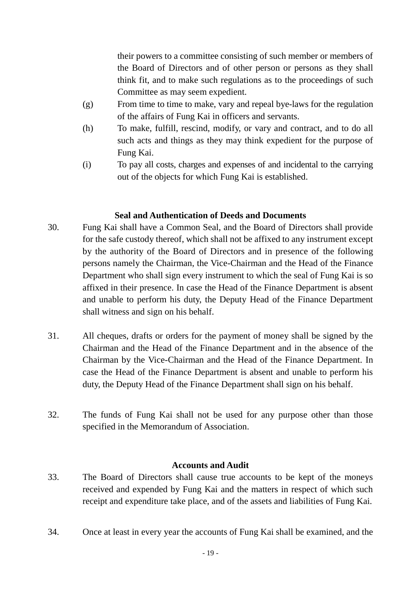their powers to a committee consisting of such member or members of the Board of Directors and of other person or persons as they shall think fit, and to make such regulations as to the proceedings of such Committee as may seem expedient.

- (g) From time to time to make, vary and repeal bye-laws for the regulation of the affairs of Fung Kai in officers and servants.
- (h) To make, fulfill, rescind, modify, or vary and contract, and to do all such acts and things as they may think expedient for the purpose of Fung Kai.
- (i) To pay all costs, charges and expenses of and incidental to the carrying out of the objects for which Fung Kai is established.

## **Seal and Authentication of Deeds and Documents**

- 30. Fung Kai shall have a Common Seal, and the Board of Directors shall provide for the safe custody thereof, which shall not be affixed to any instrument except by the authority of the Board of Directors and in presence of the following persons namely the Chairman, the Vice-Chairman and the Head of the Finance Department who shall sign every instrument to which the seal of Fung Kai is so affixed in their presence. In case the Head of the Finance Department is absent and unable to perform his duty, the Deputy Head of the Finance Department shall witness and sign on his behalf.
- 31. All cheques, drafts or orders for the payment of money shall be signed by the Chairman and the Head of the Finance Department and in the absence of the Chairman by the Vice-Chairman and the Head of the Finance Department. In case the Head of the Finance Department is absent and unable to perform his duty, the Deputy Head of the Finance Department shall sign on his behalf.
- 32. The funds of Fung Kai shall not be used for any purpose other than those specified in the Memorandum of Association.

## **Accounts and Audit**

- 33. The Board of Directors shall cause true accounts to be kept of the moneys received and expended by Fung Kai and the matters in respect of which such receipt and expenditure take place, and of the assets and liabilities of Fung Kai.
- 34. Once at least in every year the accounts of Fung Kai shall be examined, and the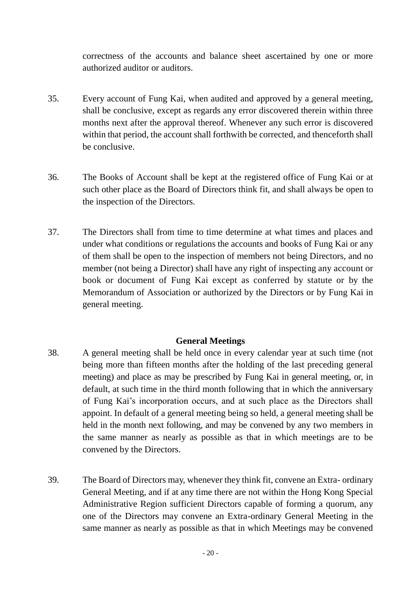correctness of the accounts and balance sheet ascertained by one or more authorized auditor or auditors.

- 35. Every account of Fung Kai, when audited and approved by a general meeting, shall be conclusive, except as regards any error discovered therein within three months next after the approval thereof. Whenever any such error is discovered within that period, the account shall forthwith be corrected, and thenceforth shall be conclusive.
- 36. The Books of Account shall be kept at the registered office of Fung Kai or at such other place as the Board of Directors think fit, and shall always be open to the inspection of the Directors.
- 37. The Directors shall from time to time determine at what times and places and under what conditions or regulations the accounts and books of Fung Kai or any of them shall be open to the inspection of members not being Directors, and no member (not being a Director) shall have any right of inspecting any account or book or document of Fung Kai except as conferred by statute or by the Memorandum of Association or authorized by the Directors or by Fung Kai in general meeting.

## **General Meetings**

- 38. A general meeting shall be held once in every calendar year at such time (not being more than fifteen months after the holding of the last preceding general meeting) and place as may be prescribed by Fung Kai in general meeting, or, in default, at such time in the third month following that in which the anniversary of Fung Kai's incorporation occurs, and at such place as the Directors shall appoint. In default of a general meeting being so held, a general meeting shall be held in the month next following, and may be convened by any two members in the same manner as nearly as possible as that in which meetings are to be convened by the Directors.
- 39. The Board of Directors may, whenever they think fit, convene an Extra- ordinary General Meeting, and if at any time there are not within the Hong Kong Special Administrative Region sufficient Directors capable of forming a quorum, any one of the Directors may convene an Extra-ordinary General Meeting in the same manner as nearly as possible as that in which Meetings may be convened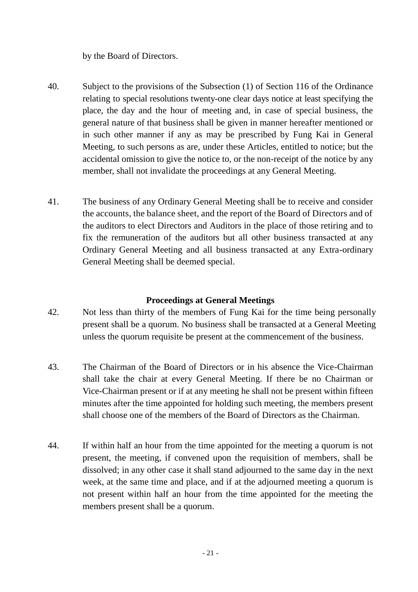by the Board of Directors.

- 40. Subject to the provisions of the Subsection (1) of Section 116 of the Ordinance relating to special resolutions twenty-one clear days notice at least specifying the place, the day and the hour of meeting and, in case of special business, the general nature of that business shall be given in manner hereafter mentioned or in such other manner if any as may be prescribed by Fung Kai in General Meeting, to such persons as are, under these Articles, entitled to notice; but the accidental omission to give the notice to, or the non-receipt of the notice by any member, shall not invalidate the proceedings at any General Meeting.
- 41. The business of any Ordinary General Meeting shall be to receive and consider the accounts, the balance sheet, and the report of the Board of Directors and of the auditors to elect Directors and Auditors in the place of those retiring and to fix the remuneration of the auditors but all other business transacted at any Ordinary General Meeting and all business transacted at any Extra-ordinary General Meeting shall be deemed special.

### **Proceedings at General Meetings**

- 42. Not less than thirty of the members of Fung Kai for the time being personally present shall be a quorum. No business shall be transacted at a General Meeting unless the quorum requisite be present at the commencement of the business.
- 43. The Chairman of the Board of Directors or in his absence the Vice-Chairman shall take the chair at every General Meeting. If there be no Chairman or Vice-Chairman present or if at any meeting he shall not be present within fifteen minutes after the time appointed for holding such meeting, the members present shall choose one of the members of the Board of Directors as the Chairman.
- 44. If within half an hour from the time appointed for the meeting a quorum is not present, the meeting, if convened upon the requisition of members, shall be dissolved; in any other case it shall stand adjourned to the same day in the next week, at the same time and place, and if at the adjourned meeting a quorum is not present within half an hour from the time appointed for the meeting the members present shall be a quorum.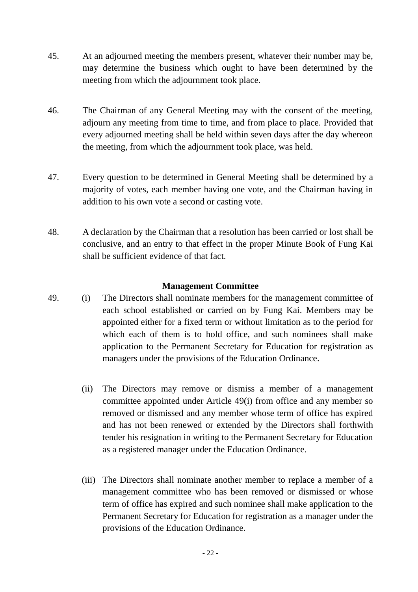- 45. At an adjourned meeting the members present, whatever their number may be, may determine the business which ought to have been determined by the meeting from which the adjournment took place.
- 46. The Chairman of any General Meeting may with the consent of the meeting, adjourn any meeting from time to time, and from place to place. Provided that every adjourned meeting shall be held within seven days after the day whereon the meeting, from which the adjournment took place, was held.
- 47. Every question to be determined in General Meeting shall be determined by a majority of votes, each member having one vote, and the Chairman having in addition to his own vote a second or casting vote.
- 48. A declaration by the Chairman that a resolution has been carried or lost shall be conclusive, and an entry to that effect in the proper Minute Book of Fung Kai shall be sufficient evidence of that fact.

### **Management Committee**

- 49. (i) The Directors shall nominate members for the management committee of each school established or carried on by Fung Kai. Members may be appointed either for a fixed term or without limitation as to the period for which each of them is to hold office, and such nominees shall make application to the Permanent Secretary for Education for registration as managers under the provisions of the Education Ordinance.
	- (ii) The Directors may remove or dismiss a member of a management committee appointed under Article 49(i) from office and any member so removed or dismissed and any member whose term of office has expired and has not been renewed or extended by the Directors shall forthwith tender his resignation in writing to the Permanent Secretary for Education as a registered manager under the Education Ordinance.
	- (iii) The Directors shall nominate another member to replace a member of a management committee who has been removed or dismissed or whose term of office has expired and such nominee shall make application to the Permanent Secretary for Education for registration as a manager under the provisions of the Education Ordinance.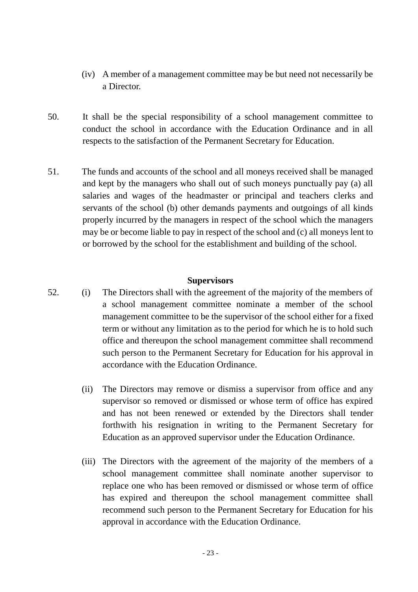- (iv) A member of a management committee may be but need not necessarily be a Director.
- 50. It shall be the special responsibility of a school management committee to conduct the school in accordance with the Education Ordinance and in all respects to the satisfaction of the Permanent Secretary for Education.
- 51. The funds and accounts of the school and all moneys received shall be managed and kept by the managers who shall out of such moneys punctually pay (a) all salaries and wages of the headmaster or principal and teachers clerks and servants of the school (b) other demands payments and outgoings of all kinds properly incurred by the managers in respect of the school which the managers may be or become liable to pay in respect of the school and (c) all moneys lent to or borrowed by the school for the establishment and building of the school.

#### **Supervisors**

- 52. (i) The Directors shall with the agreement of the majority of the members of a school management committee nominate a member of the school management committee to be the supervisor of the school either for a fixed term or without any limitation as to the period for which he is to hold such office and thereupon the school management committee shall recommend such person to the Permanent Secretary for Education for his approval in accordance with the Education Ordinance.
	- (ii) The Directors may remove or dismiss a supervisor from office and any supervisor so removed or dismissed or whose term of office has expired and has not been renewed or extended by the Directors shall tender forthwith his resignation in writing to the Permanent Secretary for Education as an approved supervisor under the Education Ordinance.
	- (iii) The Directors with the agreement of the majority of the members of a school management committee shall nominate another supervisor to replace one who has been removed or dismissed or whose term of office has expired and thereupon the school management committee shall recommend such person to the Permanent Secretary for Education for his approval in accordance with the Education Ordinance.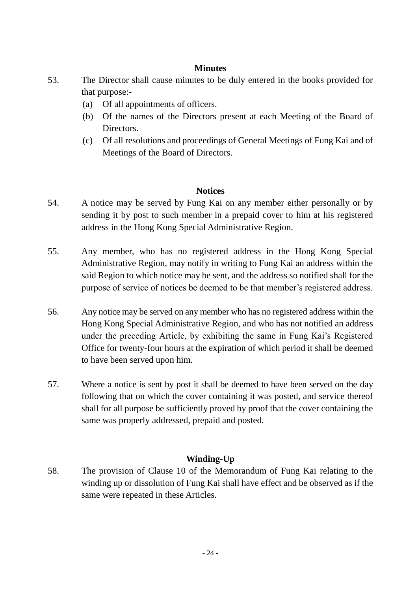## **Minutes**

- 53. The Director shall cause minutes to be duly entered in the books provided for that purpose:-
	- (a) Of all appointments of officers.
	- (b) Of the names of the Directors present at each Meeting of the Board of Directors.
	- (c) Of all resolutions and proceedings of General Meetings of Fung Kai and of Meetings of the Board of Directors.

### **Notices**

- 54. A notice may be served by Fung Kai on any member either personally or by sending it by post to such member in a prepaid cover to him at his registered address in the Hong Kong Special Administrative Region.
- 55. Any member, who has no registered address in the Hong Kong Special Administrative Region, may notify in writing to Fung Kai an address within the said Region to which notice may be sent, and the address so notified shall for the purpose of service of notices be deemed to be that member's registered address.
- 56. Any notice may be served on any member who has no registered address within the Hong Kong Special Administrative Region, and who has not notified an address under the preceding Article, by exhibiting the same in Fung Kai's Registered Office for twenty-four hours at the expiration of which period it shall be deemed to have been served upon him.
- 57. Where a notice is sent by post it shall be deemed to have been served on the day following that on which the cover containing it was posted, and service thereof shall for all purpose be sufficiently proved by proof that the cover containing the same was properly addressed, prepaid and posted.

## **Winding-Up**

58. The provision of Clause 10 of the Memorandum of Fung Kai relating to the winding up or dissolution of Fung Kai shall have effect and be observed as if the same were repeated in these Articles.